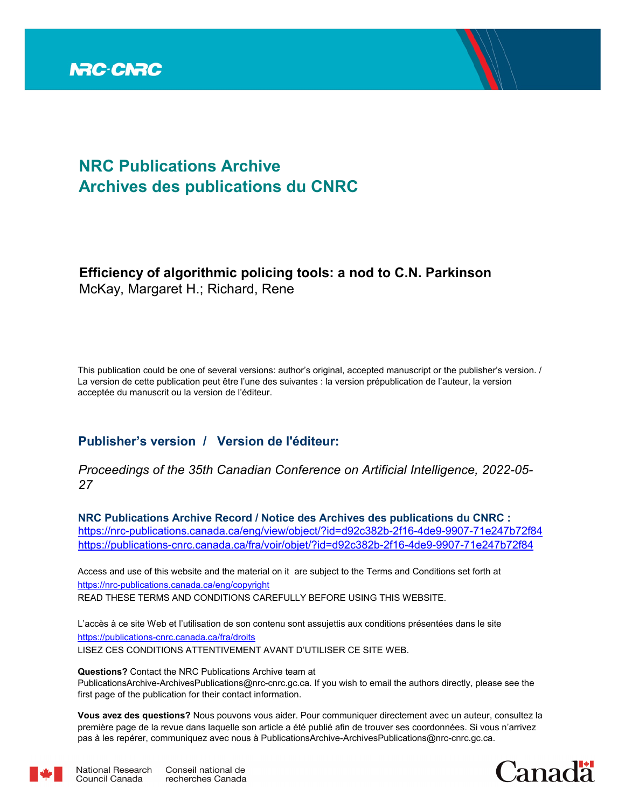

# **NRC Publications Archive Archives des publications du CNRC**

# **Efficiency of algorithmic policing tools: a nod to C.N. Parkinson** McKay, Margaret H.; Richard, Rene

This publication could be one of several versions: author's original, accepted manuscript or the publisher's version. / La version de cette publication peut être l'une des suivantes : la version prépublication de l'auteur, la version acceptée du manuscrit ou la version de l'éditeur.

# **Publisher's version / Version de l'éditeur:**

### *Proceedings of the 35th Canadian Conference on Artificial Intelligence, 2022-05- 27*

**NRC Publications Archive Record / Notice des Archives des publications du CNRC :** <https://nrc-publications.canada.ca/eng/view/object/?id=d92c382b-2f16-4de9-9907-71e247b72f84> <https://publications-cnrc.canada.ca/fra/voir/objet/?id=d92c382b-2f16-4de9-9907-71e247b72f84>

READ THESE TERMS AND CONDITIONS CAREFULLY BEFORE USING THIS WEBSITE. <https://nrc-publications.canada.ca/eng/copyright> Access and use of this website and the material on it are subject to the Terms and Conditions set forth at

<https://publications-cnrc.canada.ca/fra/droits> L'accès à ce site Web et l'utilisation de son contenu sont assujettis aux conditions présentées dans le site LISEZ CES CONDITIONS ATTENTIVEMENT AVANT D'UTILISER CE SITE WEB.

**Questions?** Contact the NRC Publications Archive team at PublicationsArchive-ArchivesPublications@nrc-cnrc.gc.ca. If you wish to email the authors directly, please see the first page of the publication for their contact information.

**Vous avez des questions?** Nous pouvons vous aider. Pour communiquer directement avec un auteur, consultez la première page de la revue dans laquelle son article a été publié afin de trouver ses coordonnées. Si vous n'arrivez pas à les repérer, communiquez avec nous à PublicationsArchive-ArchivesPublications@nrc-cnrc.gc.ca.



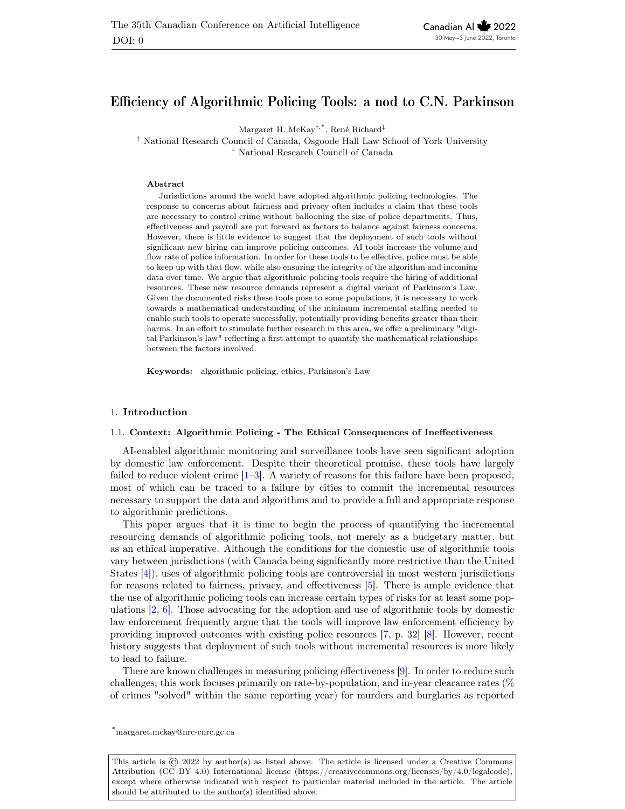### Efficiency of Algorithmic Policing Tools: a nod to C.N. Parkinson

Margaret H. McKay†,\*, René Richard‡

† National Research Council of Canada, Osgoode Hall Law School of York University ‡ National Research Council of Canada

#### Abstract

Jurisdictions around the world have adopted algorithmic policing technologies. The response to concerns about fairness and privacy often includes a claim that these tools are necessary to control crime without ballooning the size of police departments. Thus, effectiveness and payroll are put forward as factors to balance against fairness concerns. However, there is little evidence to suggest that the deployment of such tools without significant new hiring can improve policing outcomes. AI tools increase the volume and flow rate of police information. In order for these tools to be effective, police must be able to keep up with that flow, while also ensuring the integrity of the algorithm and incoming data over time. We argue that algorithmic policing tools require the hiring of additional resources. These new resource demands represent a digital variant of Parkinson's Law. Given the documented risks these tools pose to some populations, it is necessary to work towards a mathematical understanding of the minimum incremental staffing needed to enable such tools to operate successfully, potentially providing benefits greater than their harms. In an effort to stimulate further research in this area, we offer a preliminary "digital Parkinson's law" reflecting a first attempt to quantify the mathematical relationships between the factors involved.

Keywords: algorithmic policing, ethics, Parkinson's Law

#### 1. Introduction

#### 1.1. Context: Algorithmic Policing - The Ethical Consequences of Ineffectiveness

AI-enabled algorithmic monitoring and surveillance tools have seen significant adoption by domestic law enforcement. Despite their theoretical promise, these tools have largely failed to reduce violent crime [1–3]. A variety of reasons for this failure have been proposed, most of which can be traced to a failure by cities to commit the incremental resources necessary to support the data and algorithms and to provide a full and appropriate response to algorithmic predictions.

This paper argues that it is time to begin the process of quantifying the incremental resourcing demands of algorithmic policing tools, not merely as a budgetary matter, but as an ethical imperative. Although the conditions for the domestic use of algorithmic tools vary between jurisdictions (with Canada being significantly more restrictive than the United States [4]), uses of algorithmic policing tools are controversial in most western jurisdictions for reasons related to fairness, privacy, and effectiveness [5]. There is ample evidence that the use of algorithmic policing tools can increase certain types of risks for at least some populations  $\left[2, 6\right]$ . Those advocating for the adoption and use of algorithmic tools by domestic law enforcement frequently argue that the tools will improve law enforcement efficiency by providing improved outcomes with existing police resources [7, p. 32] [8]. However, recent history suggests that deployment of such tools without incremental resources is more likely to lead to failure.

There are known challenges in measuring policing effectiveness [9]. In order to reduce such challenges, this work focuses primarily on rate-by-population, and in-year clearance rates (% of crimes "solved" within the same reporting year) for murders and burglaries as reported

\*margaret.mckay@nrc-cnrc.gc.ca

This article is  $\odot$  2022 by author(s) as listed above. The article is licensed under a Creative Commons Attribution (CC BY 4.0) International license (https://creativecommons.org/licenses/by/4.0/legalcode), except where otherwise indicated with respect to particular material included in the article. The article should be attributed to the author(s) identified above.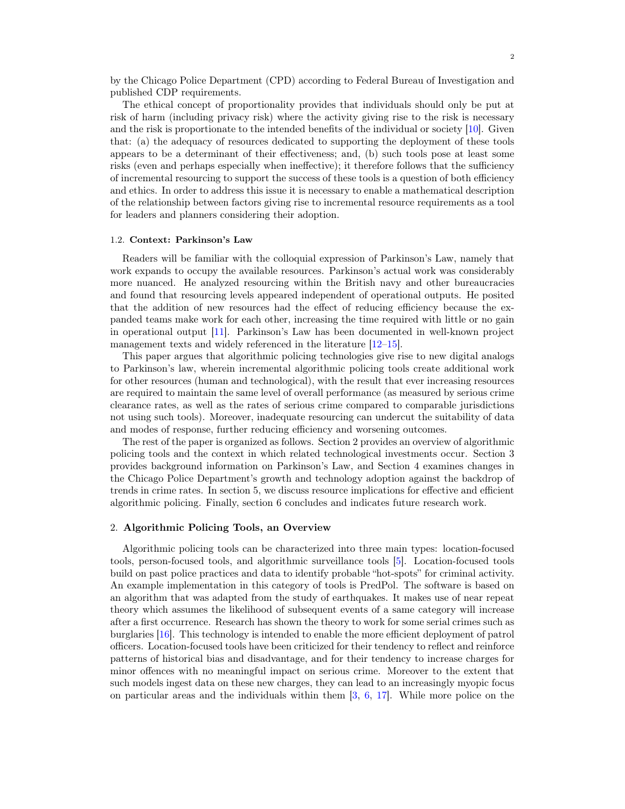by the Chicago Police Department (CPD) according to Federal Bureau of Investigation and published CDP requirements.

The ethical concept of proportionality provides that individuals should only be put at risk of harm (including privacy risk) where the activity giving rise to the risk is necessary and the risk is proportionate to the intended benefits of the individual or society [10]. Given that: (a) the adequacy of resources dedicated to supporting the deployment of these tools appears to be a determinant of their effectiveness; and, (b) such tools pose at least some risks (even and perhaps especially when ineffective); it therefore follows that the sufficiency of incremental resourcing to support the success of these tools is a question of both efficiency and ethics. In order to address this issue it is necessary to enable a mathematical description of the relationship between factors giving rise to incremental resource requirements as a tool for leaders and planners considering their adoption.

#### 1.2. Context: Parkinson's Law

Readers will be familiar with the colloquial expression of Parkinson's Law, namely that work expands to occupy the available resources. Parkinson's actual work was considerably more nuanced. He analyzed resourcing within the British navy and other bureaucracies and found that resourcing levels appeared independent of operational outputs. He posited that the addition of new resources had the effect of reducing efficiency because the expanded teams make work for each other, increasing the time required with little or no gain in operational output [11]. Parkinson's Law has been documented in well-known project management texts and widely referenced in the literature  $[12-15]$ .

This paper argues that algorithmic policing technologies give rise to new digital analogs to Parkinson's law, wherein incremental algorithmic policing tools create additional work for other resources (human and technological), with the result that ever increasing resources are required to maintain the same level of overall performance (as measured by serious crime clearance rates, as well as the rates of serious crime compared to comparable jurisdictions not using such tools). Moreover, inadequate resourcing can undercut the suitability of data and modes of response, further reducing efficiency and worsening outcomes.

The rest of the paper is organized as follows. Section 2 provides an overview of algorithmic policing tools and the context in which related technological investments occur. Section 3 provides background information on Parkinson's Law, and Section 4 examines changes in the Chicago Police Department's growth and technology adoption against the backdrop of trends in crime rates. In section 5, we discuss resource implications for effective and efficient algorithmic policing. Finally, section 6 concludes and indicates future research work.

#### 2. Algorithmic Policing Tools, an Overview

Algorithmic policing tools can be characterized into three main types: location-focused tools, person-focused tools, and algorithmic surveillance tools [5]. Location-focused tools build on past police practices and data to identify probable "hot-spots" for criminal activity. An example implementation in this category of tools is PredPol. The software is based on an algorithm that was adapted from the study of earthquakes. It makes use of near repeat theory which assumes the likelihood of subsequent events of a same category will increase after a first occurrence. Research has shown the theory to work for some serial crimes such as burglaries [16]. This technology is intended to enable the more efficient deployment of patrol officers. Location-focused tools have been criticized for their tendency to reflect and reinforce patterns of historical bias and disadvantage, and for their tendency to increase charges for minor offences with no meaningful impact on serious crime. Moreover to the extent that such models ingest data on these new charges, they can lead to an increasingly myopic focus on particular areas and the individuals within them  $[3, 6, 17]$ . While more police on the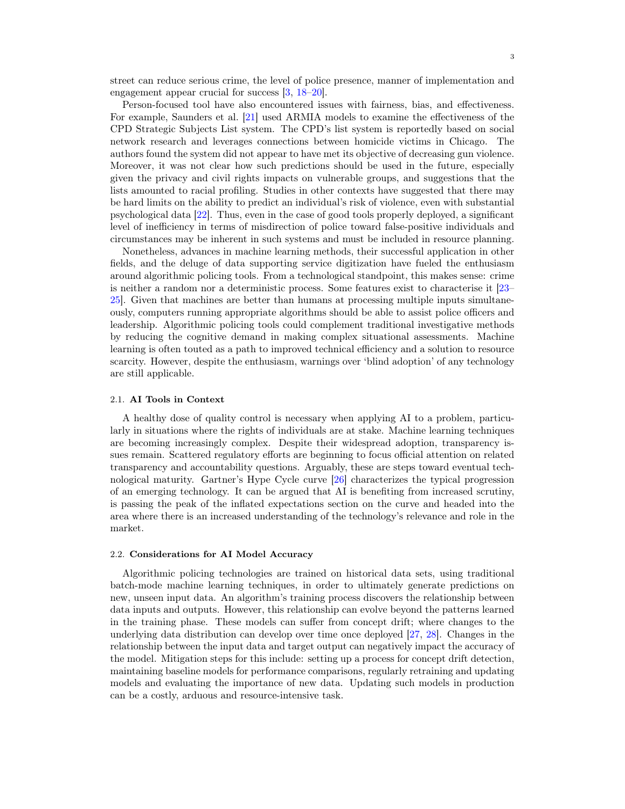street can reduce serious crime, the level of police presence, manner of implementation and engagement appear crucial for success [3, 18–20].

Person-focused tool have also encountered issues with fairness, bias, and effectiveness. For example, Saunders et al. [21] used ARMIA models to examine the effectiveness of the CPD Strategic Subjects List system. The CPD's list system is reportedly based on social network research and leverages connections between homicide victims in Chicago. The authors found the system did not appear to have met its objective of decreasing gun violence. Moreover, it was not clear how such predictions should be used in the future, especially given the privacy and civil rights impacts on vulnerable groups, and suggestions that the lists amounted to racial profiling. Studies in other contexts have suggested that there may be hard limits on the ability to predict an individual's risk of violence, even with substantial psychological data [22]. Thus, even in the case of good tools properly deployed, a significant level of inefficiency in terms of misdirection of police toward false-positive individuals and circumstances may be inherent in such systems and must be included in resource planning.

Nonetheless, advances in machine learning methods, their successful application in other fields, and the deluge of data supporting service digitization have fueled the enthusiasm around algorithmic policing tools. From a technological standpoint, this makes sense: crime is neither a random nor a deterministic process. Some features exist to characterise it [23– 25]. Given that machines are better than humans at processing multiple inputs simultaneously, computers running appropriate algorithms should be able to assist police officers and leadership. Algorithmic policing tools could complement traditional investigative methods by reducing the cognitive demand in making complex situational assessments. Machine learning is often touted as a path to improved technical efficiency and a solution to resource scarcity. However, despite the enthusiasm, warnings over 'blind adoption' of any technology are still applicable.

#### 2.1. AI Tools in Context

A healthy dose of quality control is necessary when applying AI to a problem, particularly in situations where the rights of individuals are at stake. Machine learning techniques are becoming increasingly complex. Despite their widespread adoption, transparency issues remain. Scattered regulatory efforts are beginning to focus official attention on related transparency and accountability questions. Arguably, these are steps toward eventual technological maturity. Gartner's Hype Cycle curve [26] characterizes the typical progression of an emerging technology. It can be argued that AI is benefiting from increased scrutiny, is passing the peak of the inflated expectations section on the curve and headed into the area where there is an increased understanding of the technology's relevance and role in the market.

#### 2.2. Considerations for AI Model Accuracy

Algorithmic policing technologies are trained on historical data sets, using traditional batch-mode machine learning techniques, in order to ultimately generate predictions on new, unseen input data. An algorithm's training process discovers the relationship between data inputs and outputs. However, this relationship can evolve beyond the patterns learned in the training phase. These models can suffer from concept drift; where changes to the underlying data distribution can develop over time once deployed [27, 28]. Changes in the relationship between the input data and target output can negatively impact the accuracy of the model. Mitigation steps for this include: setting up a process for concept drift detection, maintaining baseline models for performance comparisons, regularly retraining and updating models and evaluating the importance of new data. Updating such models in production can be a costly, arduous and resource-intensive task.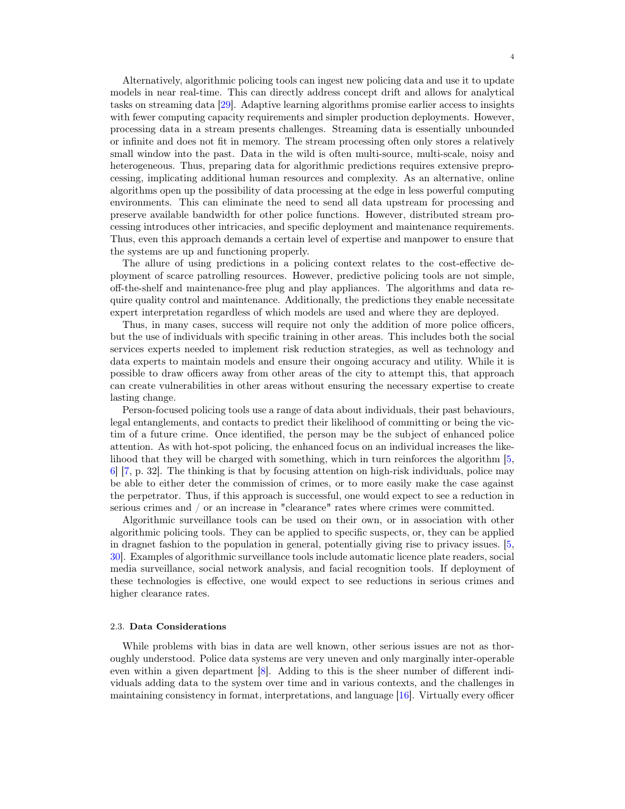Alternatively, algorithmic policing tools can ingest new policing data and use it to update models in near real-time. This can directly address concept drift and allows for analytical tasks on streaming data [29]. Adaptive learning algorithms promise earlier access to insights with fewer computing capacity requirements and simpler production deployments. However, processing data in a stream presents challenges. Streaming data is essentially unbounded or infinite and does not fit in memory. The stream processing often only stores a relatively small window into the past. Data in the wild is often multi-source, multi-scale, noisy and heterogeneous. Thus, preparing data for algorithmic predictions requires extensive preprocessing, implicating additional human resources and complexity. As an alternative, online algorithms open up the possibility of data processing at the edge in less powerful computing environments. This can eliminate the need to send all data upstream for processing and preserve available bandwidth for other police functions. However, distributed stream processing introduces other intricacies, and specific deployment and maintenance requirements. Thus, even this approach demands a certain level of expertise and manpower to ensure that the systems are up and functioning properly.

The allure of using predictions in a policing context relates to the cost-effective deployment of scarce patrolling resources. However, predictive policing tools are not simple, off-the-shelf and maintenance-free plug and play appliances. The algorithms and data require quality control and maintenance. Additionally, the predictions they enable necessitate expert interpretation regardless of which models are used and where they are deployed.

Thus, in many cases, success will require not only the addition of more police officers, but the use of individuals with specific training in other areas. This includes both the social services experts needed to implement risk reduction strategies, as well as technology and data experts to maintain models and ensure their ongoing accuracy and utility. While it is possible to draw officers away from other areas of the city to attempt this, that approach can create vulnerabilities in other areas without ensuring the necessary expertise to create lasting change.

Person-focused policing tools use a range of data about individuals, their past behaviours, legal entanglements, and contacts to predict their likelihood of committing or being the victim of a future crime. Once identified, the person may be the subject of enhanced police attention. As with hot-spot policing, the enhanced focus on an individual increases the likelihood that they will be charged with something, which in turn reinforces the algorithm [5, 6] [7, p. 32]. The thinking is that by focusing attention on high-risk individuals, police may be able to either deter the commission of crimes, or to more easily make the case against the perpetrator. Thus, if this approach is successful, one would expect to see a reduction in serious crimes and / or an increase in "clearance" rates where crimes were committed.

Algorithmic surveillance tools can be used on their own, or in association with other algorithmic policing tools. They can be applied to specific suspects, or, they can be applied in dragnet fashion to the population in general, potentially giving rise to privacy issues. [5, 30]. Examples of algorithmic surveillance tools include automatic licence plate readers, social media surveillance, social network analysis, and facial recognition tools. If deployment of these technologies is effective, one would expect to see reductions in serious crimes and higher clearance rates.

#### 2.3. Data Considerations

While problems with bias in data are well known, other serious issues are not as thoroughly understood. Police data systems are very uneven and only marginally inter-operable even within a given department [8]. Adding to this is the sheer number of different individuals adding data to the system over time and in various contexts, and the challenges in maintaining consistency in format, interpretations, and language [16]. Virtually every officer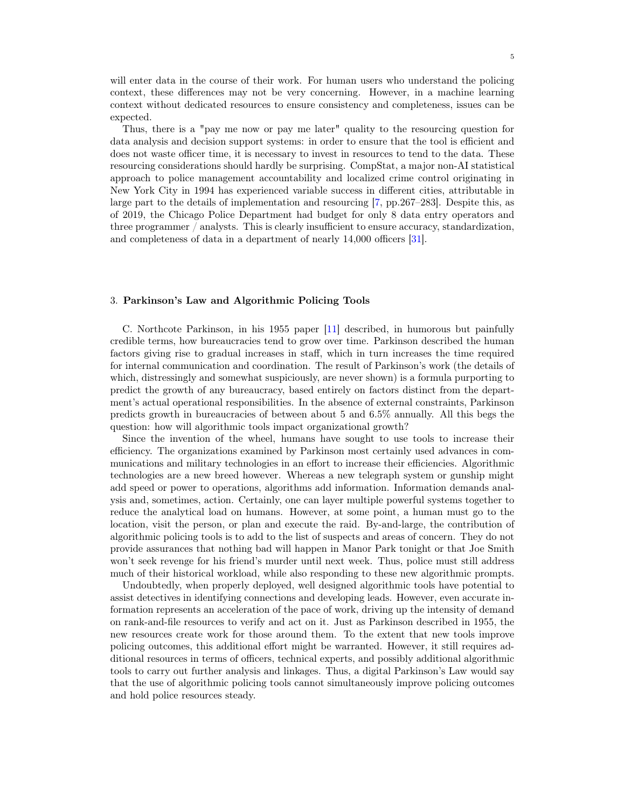will enter data in the course of their work. For human users who understand the policing context, these differences may not be very concerning. However, in a machine learning context without dedicated resources to ensure consistency and completeness, issues can be expected.

Thus, there is a "pay me now or pay me later" quality to the resourcing question for data analysis and decision support systems: in order to ensure that the tool is efficient and does not waste officer time, it is necessary to invest in resources to tend to the data. These resourcing considerations should hardly be surprising. CompStat, a major non-AI statistical approach to police management accountability and localized crime control originating in New York City in 1994 has experienced variable success in different cities, attributable in large part to the details of implementation and resourcing [7, pp.267–283]. Despite this, as of 2019, the Chicago Police Department had budget for only 8 data entry operators and three programmer / analysts. This is clearly insufficient to ensure accuracy, standardization, and completeness of data in a department of nearly 14,000 officers [31].

#### 3. Parkinson's Law and Algorithmic Policing Tools

C. Northcote Parkinson, in his 1955 paper [11] described, in humorous but painfully credible terms, how bureaucracies tend to grow over time. Parkinson described the human factors giving rise to gradual increases in staff, which in turn increases the time required for internal communication and coordination. The result of Parkinson's work (the details of which, distressingly and somewhat suspiciously, are never shown) is a formula purporting to predict the growth of any bureaucracy, based entirely on factors distinct from the department's actual operational responsibilities. In the absence of external constraints, Parkinson predicts growth in bureaucracies of between about 5 and 6.5% annually. All this begs the question: how will algorithmic tools impact organizational growth?

Since the invention of the wheel, humans have sought to use tools to increase their efficiency. The organizations examined by Parkinson most certainly used advances in communications and military technologies in an effort to increase their efficiencies. Algorithmic technologies are a new breed however. Whereas a new telegraph system or gunship might add speed or power to operations, algorithms add information. Information demands analysis and, sometimes, action. Certainly, one can layer multiple powerful systems together to reduce the analytical load on humans. However, at some point, a human must go to the location, visit the person, or plan and execute the raid. By-and-large, the contribution of algorithmic policing tools is to add to the list of suspects and areas of concern. They do not provide assurances that nothing bad will happen in Manor Park tonight or that Joe Smith won't seek revenge for his friend's murder until next week. Thus, police must still address much of their historical workload, while also responding to these new algorithmic prompts.

Undoubtedly, when properly deployed, well designed algorithmic tools have potential to assist detectives in identifying connections and developing leads. However, even accurate information represents an acceleration of the pace of work, driving up the intensity of demand on rank-and-file resources to verify and act on it. Just as Parkinson described in 1955, the new resources create work for those around them. To the extent that new tools improve policing outcomes, this additional effort might be warranted. However, it still requires additional resources in terms of officers, technical experts, and possibly additional algorithmic tools to carry out further analysis and linkages. Thus, a digital Parkinson's Law would say that the use of algorithmic policing tools cannot simultaneously improve policing outcomes and hold police resources steady.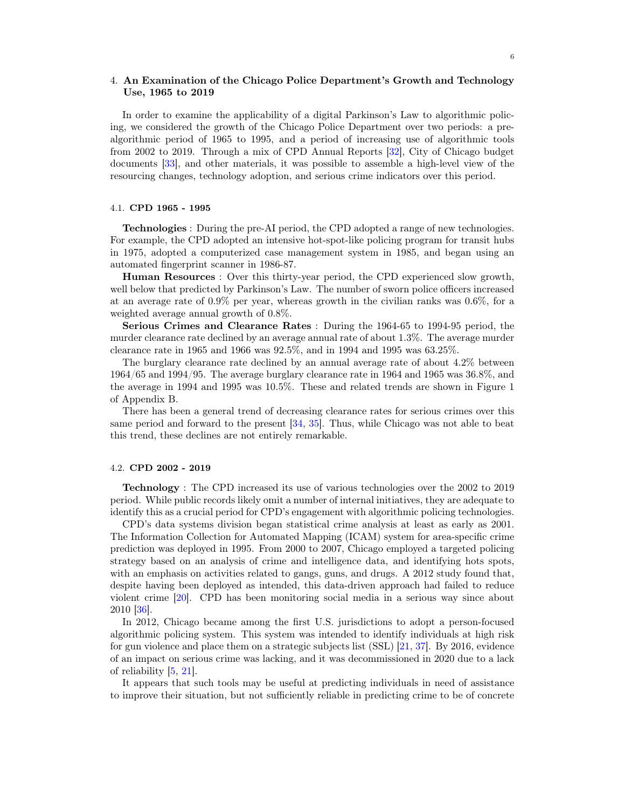#### 4. An Examination of the Chicago Police Department's Growth and Technology Use, 1965 to 2019

In order to examine the applicability of a digital Parkinson's Law to algorithmic policing, we considered the growth of the Chicago Police Department over two periods: a prealgorithmic period of 1965 to 1995, and a period of increasing use of algorithmic tools from 2002 to 2019. Through a mix of CPD Annual Reports [32], City of Chicago budget documents [33], and other materials, it was possible to assemble a high-level view of the resourcing changes, technology adoption, and serious crime indicators over this period.

#### 4.1. CPD 1965 - 1995

Technologies : During the pre-AI period, the CPD adopted a range of new technologies. For example, the CPD adopted an intensive hot-spot-like policing program for transit hubs in 1975, adopted a computerized case management system in 1985, and began using an automated fingerprint scanner in 1986-87.

Human Resources : Over this thirty-year period, the CPD experienced slow growth, well below that predicted by Parkinson's Law. The number of sworn police officers increased at an average rate of 0.9% per year, whereas growth in the civilian ranks was 0.6%, for a weighted average annual growth of 0.8%.

Serious Crimes and Clearance Rates : During the 1964-65 to 1994-95 period, the murder clearance rate declined by an average annual rate of about 1.3%. The average murder clearance rate in 1965 and 1966 was 92.5%, and in 1994 and 1995 was 63.25%.

The burglary clearance rate declined by an annual average rate of about 4.2% between 1964/65 and 1994/95. The average burglary clearance rate in 1964 and 1965 was 36.8%, and the average in 1994 and 1995 was 10.5%. These and related trends are shown in Figure 1 of Appendix B.

There has been a general trend of decreasing clearance rates for serious crimes over this same period and forward to the present [34, 35]. Thus, while Chicago was not able to beat this trend, these declines are not entirely remarkable.

#### 4.2. CPD 2002 - 2019

Technology : The CPD increased its use of various technologies over the 2002 to 2019 period. While public records likely omit a number of internal initiatives, they are adequate to identify this as a crucial period for CPD's engagement with algorithmic policing technologies.

CPD's data systems division began statistical crime analysis at least as early as 2001. The Information Collection for Automated Mapping (ICAM) system for area-specific crime prediction was deployed in 1995. From 2000 to 2007, Chicago employed a targeted policing strategy based on an analysis of crime and intelligence data, and identifying hots spots, with an emphasis on activities related to gangs, guns, and drugs. A 2012 study found that, despite having been deployed as intended, this data-driven approach had failed to reduce violent crime [20]. CPD has been monitoring social media in a serious way since about 2010 [36].

In 2012, Chicago became among the first U.S. jurisdictions to adopt a person-focused algorithmic policing system. This system was intended to identify individuals at high risk for gun violence and place them on a strategic subjects list (SSL) [21, 37]. By 2016, evidence of an impact on serious crime was lacking, and it was decommissioned in 2020 due to a lack of reliability [5, 21].

It appears that such tools may be useful at predicting individuals in need of assistance to improve their situation, but not sufficiently reliable in predicting crime to be of concrete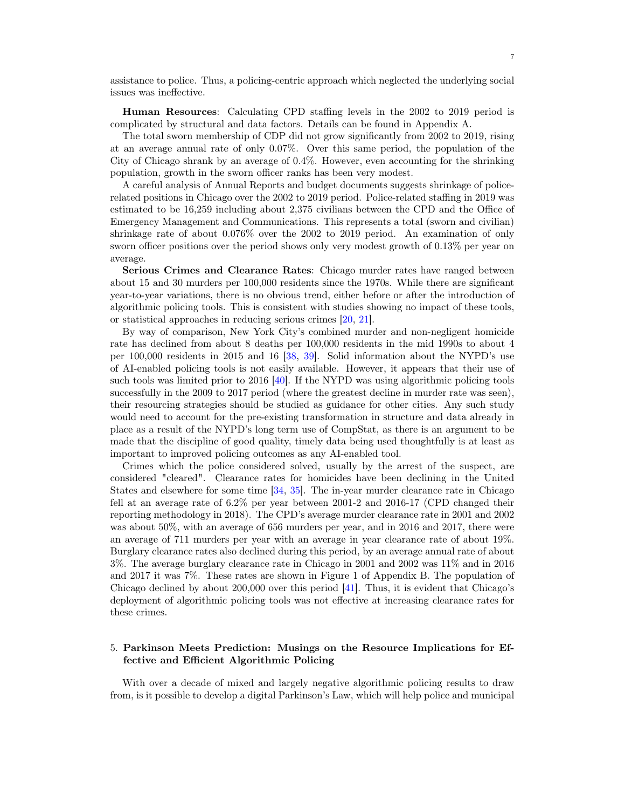assistance to police. Thus, a policing-centric approach which neglected the underlying social issues was ineffective.

Human Resources: Calculating CPD staffing levels in the 2002 to 2019 period is complicated by structural and data factors. Details can be found in Appendix A.

The total sworn membership of CDP did not grow significantly from 2002 to 2019, rising at an average annual rate of only 0.07%. Over this same period, the population of the City of Chicago shrank by an average of 0.4%. However, even accounting for the shrinking population, growth in the sworn officer ranks has been very modest.

A careful analysis of Annual Reports and budget documents suggests shrinkage of policerelated positions in Chicago over the 2002 to 2019 period. Police-related staffing in 2019 was estimated to be 16,259 including about 2,375 civilians between the CPD and the Office of Emergency Management and Communications. This represents a total (sworn and civilian) shrinkage rate of about 0.076% over the 2002 to 2019 period. An examination of only sworn officer positions over the period shows only very modest growth of 0.13% per year on average.

Serious Crimes and Clearance Rates: Chicago murder rates have ranged between about 15 and 30 murders per 100,000 residents since the 1970s. While there are significant year-to-year variations, there is no obvious trend, either before or after the introduction of algorithmic policing tools. This is consistent with studies showing no impact of these tools, or statistical approaches in reducing serious crimes [20, 21].

By way of comparison, New York City's combined murder and non-negligent homicide rate has declined from about 8 deaths per 100,000 residents in the mid 1990s to about 4 per 100,000 residents in 2015 and 16 [38, 39]. Solid information about the NYPD's use of AI-enabled policing tools is not easily available. However, it appears that their use of such tools was limited prior to 2016 [40]. If the NYPD was using algorithmic policing tools successfully in the 2009 to 2017 period (where the greatest decline in murder rate was seen), their resourcing strategies should be studied as guidance for other cities. Any such study would need to account for the pre-existing transformation in structure and data already in place as a result of the NYPD's long term use of CompStat, as there is an argument to be made that the discipline of good quality, timely data being used thoughtfully is at least as important to improved policing outcomes as any AI-enabled tool.

Crimes which the police considered solved, usually by the arrest of the suspect, are considered "cleared". Clearance rates for homicides have been declining in the United States and elsewhere for some time [34, 35]. The in-year murder clearance rate in Chicago fell at an average rate of 6.2% per year between 2001-2 and 2016-17 (CPD changed their reporting methodology in 2018). The CPD's average murder clearance rate in 2001 and 2002 was about 50%, with an average of 656 murders per year, and in 2016 and 2017, there were an average of 711 murders per year with an average in year clearance rate of about 19%. Burglary clearance rates also declined during this period, by an average annual rate of about 3%. The average burglary clearance rate in Chicago in 2001 and 2002 was 11% and in 2016 and 2017 it was 7%. These rates are shown in Figure 1 of Appendix B. The population of Chicago declined by about 200,000 over this period [41]. Thus, it is evident that Chicago's deployment of algorithmic policing tools was not effective at increasing clearance rates for these crimes.

#### 5. Parkinson Meets Prediction: Musings on the Resource Implications for Effective and Efficient Algorithmic Policing

With over a decade of mixed and largely negative algorithmic policing results to draw from, is it possible to develop a digital Parkinson's Law, which will help police and municipal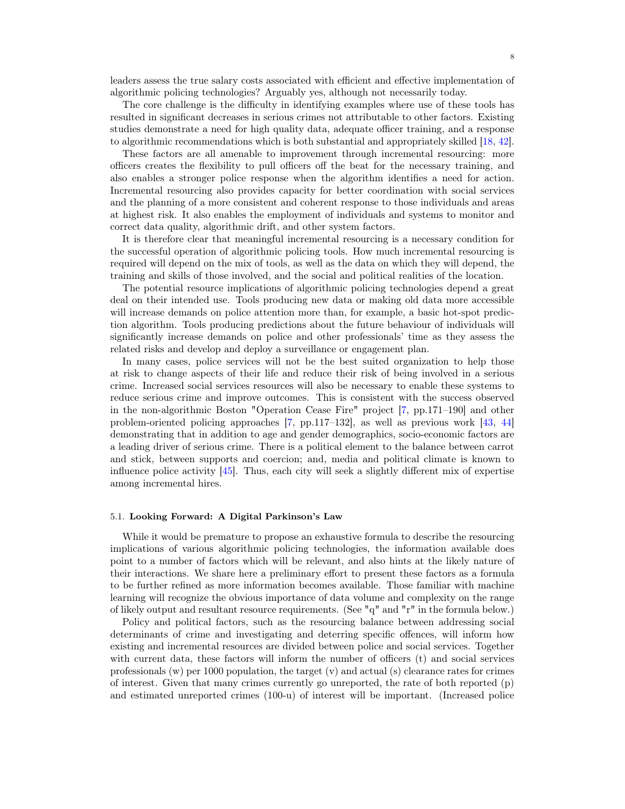leaders assess the true salary costs associated with efficient and effective implementation of algorithmic policing technologies? Arguably yes, although not necessarily today.

The core challenge is the difficulty in identifying examples where use of these tools has resulted in significant decreases in serious crimes not attributable to other factors. Existing studies demonstrate a need for high quality data, adequate officer training, and a response to algorithmic recommendations which is both substantial and appropriately skilled [18, 42].

These factors are all amenable to improvement through incremental resourcing: more officers creates the flexibility to pull officers off the beat for the necessary training, and also enables a stronger police response when the algorithm identifies a need for action. Incremental resourcing also provides capacity for better coordination with social services and the planning of a more consistent and coherent response to those individuals and areas at highest risk. It also enables the employment of individuals and systems to monitor and correct data quality, algorithmic drift, and other system factors.

It is therefore clear that meaningful incremental resourcing is a necessary condition for the successful operation of algorithmic policing tools. How much incremental resourcing is required will depend on the mix of tools, as well as the data on which they will depend, the training and skills of those involved, and the social and political realities of the location.

The potential resource implications of algorithmic policing technologies depend a great deal on their intended use. Tools producing new data or making old data more accessible will increase demands on police attention more than, for example, a basic hot-spot prediction algorithm. Tools producing predictions about the future behaviour of individuals will significantly increase demands on police and other professionals' time as they assess the related risks and develop and deploy a surveillance or engagement plan.

In many cases, police services will not be the best suited organization to help those at risk to change aspects of their life and reduce their risk of being involved in a serious crime. Increased social services resources will also be necessary to enable these systems to reduce serious crime and improve outcomes. This is consistent with the success observed in the non-algorithmic Boston "Operation Cease Fire" project [7, pp.171–190] and other problem-oriented policing approaches [7, pp.117–132], as well as previous work [43, 44] demonstrating that in addition to age and gender demographics, socio-economic factors are a leading driver of serious crime. There is a political element to the balance between carrot and stick, between supports and coercion; and, media and political climate is known to influence police activity [45]. Thus, each city will seek a slightly different mix of expertise among incremental hires.

#### 5.1. Looking Forward: A Digital Parkinson's Law

While it would be premature to propose an exhaustive formula to describe the resourcing implications of various algorithmic policing technologies, the information available does point to a number of factors which will be relevant, and also hints at the likely nature of their interactions. We share here a preliminary effort to present these factors as a formula to be further refined as more information becomes available. Those familiar with machine learning will recognize the obvious importance of data volume and complexity on the range of likely output and resultant resource requirements. (See "q" and "r" in the formula below.)

Policy and political factors, such as the resourcing balance between addressing social determinants of crime and investigating and deterring specific offences, will inform how existing and incremental resources are divided between police and social services. Together with current data, these factors will inform the number of officers (t) and social services professionals  $(w)$  per 1000 population, the target  $(v)$  and actual  $(s)$  clearance rates for crimes of interest. Given that many crimes currently go unreported, the rate of both reported (p) and estimated unreported crimes (100-u) of interest will be important. (Increased police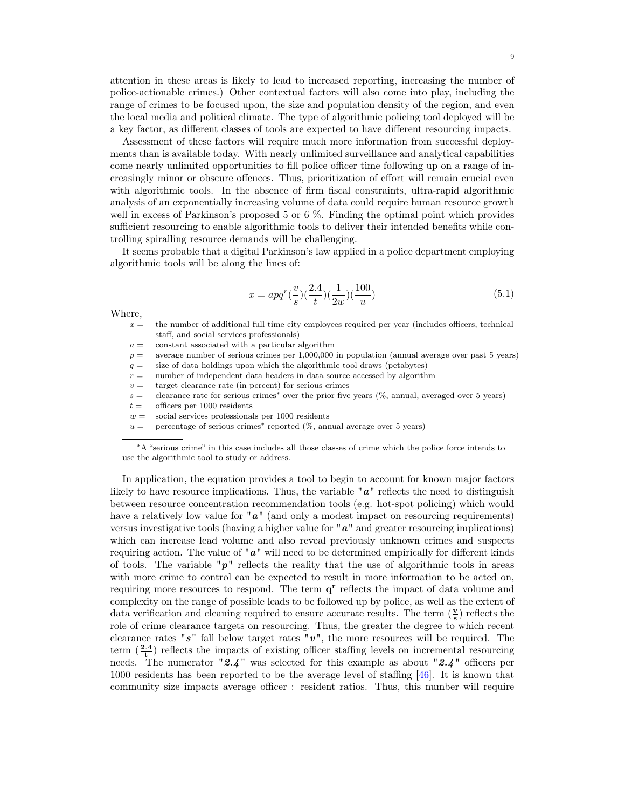attention in these areas is likely to lead to increased reporting, increasing the number of police-actionable crimes.) Other contextual factors will also come into play, including the range of crimes to be focused upon, the size and population density of the region, and even the local media and political climate. The type of algorithmic policing tool deployed will be a key factor, as different classes of tools are expected to have different resourcing impacts.

Assessment of these factors will require much more information from successful deployments than is available today. With nearly unlimited surveillance and analytical capabilities come nearly unlimited opportunities to fill police officer time following up on a range of increasingly minor or obscure offences. Thus, prioritization of effort will remain crucial even with algorithmic tools. In the absence of firm fiscal constraints, ultra-rapid algorithmic analysis of an exponentially increasing volume of data could require human resource growth well in excess of Parkinson's proposed 5 or 6 %. Finding the optimal point which provides sufficient resourcing to enable algorithmic tools to deliver their intended benefits while controlling spiralling resource demands will be challenging.

It seems probable that a digital Parkinson's law applied in a police department employing algorithmic tools will be along the lines of:

$$
x = apq^{r}(\frac{v}{s})(\frac{2.4}{t})(\frac{1}{2w})(\frac{100}{u})
$$
\n(5.1)

Where,

- $x =$  the number of additional full time city employees required per year (includes officers, technical staff, and social services professionals)
- $a =$  constant associated with a particular algorithm
- $p =$  average number of serious crimes per 1,000,000 in population (annual average over past 5 years)
- $q =$  size of data holdings upon which the algorithmic tool draws (petabytes)
- $r =$  number of independent data headers in data source accessed by algorithm
- $v =$  target clearance rate (in percent) for serious crimes
- s = clearance rate for serious crimes<sup>∗</sup> over the prior five years (%, annual, averaged over 5 years)
- $t =$  officers per 1000 residents
- $w =$  social services professionals per 1000 residents
- $u =$  percentage of serious crimes<sup>\*</sup> reported (%, annual average over 5 years)

In application, the equation provides a tool to begin to account for known major factors likely to have resource implications. Thus, the variable  $\mathbf{a}^{\prime\prime}$  reflects the need to distinguish between resource concentration recommendation tools (e.g. hot-spot policing) which would have a relatively low value for  $"a"$  (and only a modest impact on resourcing requirements) versus investigative tools (having a higher value for  $\mathbf{u}^{\prime\prime}$  and greater resourcing implications) which can increase lead volume and also reveal previously unknown crimes and suspects requiring action. The value of " $a$ " will need to be determined empirically for different kinds of tools. The variable " $p$ " reflects the reality that the use of algorithmic tools in areas with more crime to control can be expected to result in more information to be acted on, requiring more resources to respond. The term  $q<sup>r</sup>$  reflects the impact of data volume and complexity on the range of possible leads to be followed up by police, as well as the extent of data verification and cleaning required to ensure accurate results. The term  $(\frac{\mathbf{v}}{\mathbf{s}})$  reflects the role of crime clearance targets on resourcing. Thus, the greater the degree to which recent clearance rates " $s$ " fall below target rates " $v$ ", the more resources will be required. The term  $(\frac{2.4}{t})$  reflects the impacts of existing officer staffing levels on incremental resourcing needs. The numerator "2.4" was selected for this example as about "2.4" officers per 1000 residents has been reported to be the average level of staffing [46]. It is known that community size impacts average officer : resident ratios. Thus, this number will require

<sup>∗</sup>A "serious crime" in this case includes all those classes of crime which the police force intends to use the algorithmic tool to study or address.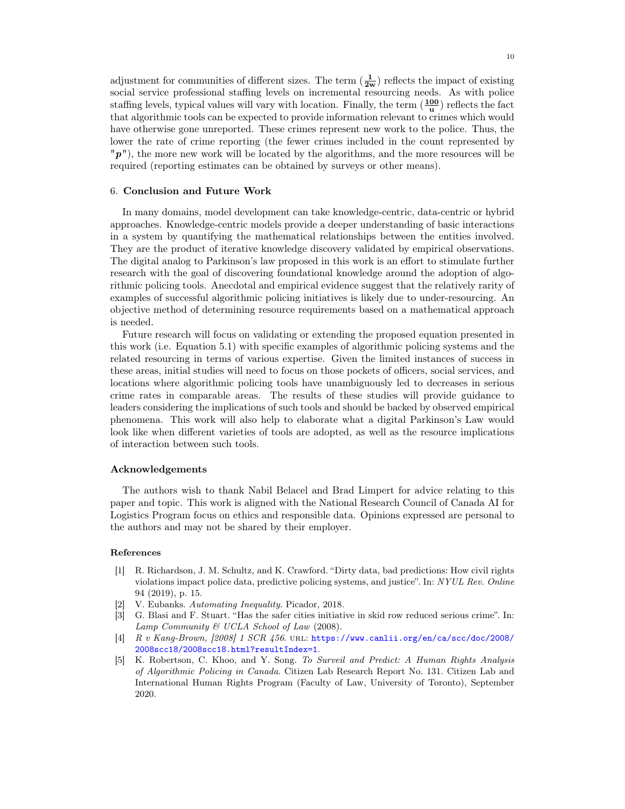adjustment for communities of different sizes. The term  $(\frac{1}{2w})$  reflects the impact of existing social service professional staffing levels on incremental resourcing needs. As with police staffing levels, typical values will vary with location. Finally, the term  $(\frac{100}{\mathbf{u}})$  reflects the fact that algorithmic tools can be expected to provide information relevant to crimes which would have otherwise gone unreported. These crimes represent new work to the police. Thus, the lower the rate of crime reporting (the fewer crimes included in the count represented by  $\mathbb{P}$   $\mathbb{P}$ "), the more new work will be located by the algorithms, and the more resources will be required (reporting estimates can be obtained by surveys or other means).

#### 6. Conclusion and Future Work

In many domains, model development can take knowledge-centric, data-centric or hybrid approaches. Knowledge-centric models provide a deeper understanding of basic interactions in a system by quantifying the mathematical relationships between the entities involved. They are the product of iterative knowledge discovery validated by empirical observations. The digital analog to Parkinson's law proposed in this work is an effort to stimulate further research with the goal of discovering foundational knowledge around the adoption of algorithmic policing tools. Anecdotal and empirical evidence suggest that the relatively rarity of examples of successful algorithmic policing initiatives is likely due to under-resourcing. An objective method of determining resource requirements based on a mathematical approach is needed.

Future research will focus on validating or extending the proposed equation presented in this work (i.e. Equation 5.1) with specific examples of algorithmic policing systems and the related resourcing in terms of various expertise. Given the limited instances of success in these areas, initial studies will need to focus on those pockets of officers, social services, and locations where algorithmic policing tools have unambiguously led to decreases in serious crime rates in comparable areas. The results of these studies will provide guidance to leaders considering the implications of such tools and should be backed by observed empirical phenomena. This work will also help to elaborate what a digital Parkinson's Law would look like when different varieties of tools are adopted, as well as the resource implications of interaction between such tools.

#### Acknowledgements

The authors wish to thank Nabil Belacel and Brad Limpert for advice relating to this paper and topic. This work is aligned with the National Research Council of Canada AI for Logistics Program focus on ethics and responsible data. Opinions expressed are personal to the authors and may not be shared by their employer.

#### References

- [1] R. Richardson, J. M. Schultz, and K. Crawford. "Dirty data, bad predictions: How civil rights violations impact police data, predictive policing systems, and justice". In: NYUL Rev. Online 94 (2019), p. 15.
- V. Eubanks. Automating Inequality. Picador, 2018.
- [3] G. Blasi and F. Stuart. "Has the safer cities initiative in skid row reduced serious crime". In: Lamp Community  $\mathcal C$  UCLA School of Law (2008).
- [4] R v Kang-Brown, [2008] 1 SCR 456. url: https://www.canlii.org/en/ca/scc/doc/2008/ 2008scc18/2008scc18.html?resultIndex=1.
- [5] K. Robertson, C. Khoo, and Y. Song. To Surveil and Predict: A Human Rights Analysis of Algorithmic Policing in Canada. Citizen Lab Research Report No. 131. Citizen Lab and International Human Rights Program (Faculty of Law, University of Toronto), September 2020.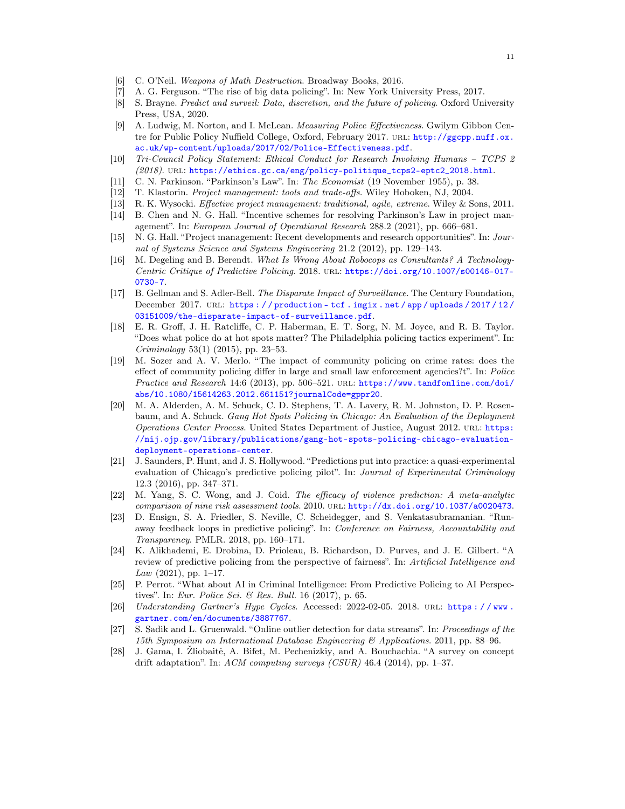- [6] C. O'Neil. Weapons of Math Destruction. Broadway Books, 2016.
- [7] A. G. Ferguson. "The rise of big data policing". In: New York University Press, 2017.
- [8] S. Brayne. Predict and surveil: Data, discretion, and the future of policing. Oxford University Press, USA, 2020.
- [9] A. Ludwig, M. Norton, and I. McLean. Measuring Police Effectiveness. Gwilym Gibbon Centre for Public Policy Nuffield College, Oxford, February 2017. unl: http://ggcpp.nuff.ox. ac.uk/wp-content/uploads/2017/02/Police-Effectiveness.pdf.
- [10] Tri-Council Policy Statement: Ethical Conduct for Research Involving Humans TCPS 2 (2018). url: https://ethics.gc.ca/eng/policy-politique\_tcps2-eptc2\_2018.html.
- [11] C. N. Parkinson. "Parkinson's Law". In: The Economist (19 November 1955), p. 38.
- [12] T. Klastorin. Project management: tools and trade-offs. Wiley Hoboken, NJ, 2004.
- [13] R. K. Wysocki. Effective project management: traditional, agile, extreme. Wiley & Sons, 2011.
- [14] B. Chen and N. G. Hall. "Incentive schemes for resolving Parkinson's Law in project management". In: European Journal of Operational Research 288.2 (2021), pp. 666–681.
- [15] N. G. Hall. "Project management: Recent developments and research opportunities". In: Journal of Systems Science and Systems Engineering 21.2 (2012), pp. 129–143.
- [16] M. Degeling and B. Berendt. What Is Wrong About Robocops as Consultants? A Technology-Centric Critique of Predictive Policing. 2018. url: https://doi.org/10.1007/s00146-017- 0730-7.
- [17] B. Gellman and S. Adler-Bell. The Disparate Impact of Surveillance. The Century Foundation, December 2017. URL: https://production-tcf.imgix.net/app/uploads/2017/12/ 03151009/the-disparate-impact-of-surveillance.pdf.
- [18] E. R. Groff, J. H. Ratcliffe, C. P. Haberman, E. T. Sorg, N. M. Joyce, and R. B. Taylor. "Does what police do at hot spots matter? The Philadelphia policing tactics experiment". In: Criminology 53(1) (2015), pp. 23–53.
- [19] M. Sozer and A. V. Merlo. "The impact of community policing on crime rates: does the effect of community policing differ in large and small law enforcement agencies?t". In: Police Practice and Research 14:6 (2013), pp. 506-521. URL: https://www.tandfonline.com/doi/ abs/10.1080/15614263.2012.661151?journalCode=gppr20.
- [20] M. A. Alderden, A. M. Schuck, C. D. Stephens, T. A. Lavery, R. M. Johnston, D. P. Rosenbaum, and A. Schuck. Gang Hot Spots Policing in Chicago: An Evaluation of the Deployment Operations Center Process. United States Department of Justice, August 2012. URL: https: //nij.ojp.gov/library/publications/gang-hot-spots-policing-chicago-evaluationdeployment-operations-center.
- [21] J. Saunders, P. Hunt, and J. S. Hollywood. "Predictions put into practice: a quasi-experimental evaluation of Chicago's predictive policing pilot". In: Journal of Experimental Criminology 12.3 (2016), pp. 347–371.
- [22] M. Yang, S. C. Wong, and J. Coid. The efficacy of violence prediction: A meta-analytic comparison of nine risk assessment tools. 2010. URL: http://dx.doi.org/10.1037/a0020473.
- [23] D. Ensign, S. A. Friedler, S. Neville, C. Scheidegger, and S. Venkatasubramanian. "Runaway feedback loops in predictive policing". In: Conference on Fairness, Accountability and Transparency. PMLR. 2018, pp. 160–171.
- [24] K. Alikhademi, E. Drobina, D. Prioleau, B. Richardson, D. Purves, and J. E. Gilbert. "A review of predictive policing from the perspective of fairness". In: Artificial Intelligence and  $Law (2021), pp. 1-17.$
- [25] P. Perrot. "What about AI in Criminal Intelligence: From Predictive Policing to AI Perspectives". In: Eur. Police Sci. & Res. Bull. 16 (2017), p. 65.
- [26] Understanding Gartner's Hype Cycles. Accessed: 2022-02-05. 2018. URL: https://www. gartner.com/en/documents/3887767.
- [27] S. Sadik and L. Gruenwald. "Online outlier detection for data streams". In: Proceedings of the 15th Symposium on International Database Engineering & Applications. 2011, pp. 88–96.
- [28] J. Gama, I. Žliobaitė, A. Bifet, M. Pechenizkiy, and A. Bouchachia. "A survey on concept drift adaptation". In:  $ACM$  computing surveys  $(CSUR)$  46.4 (2014), pp. 1–37.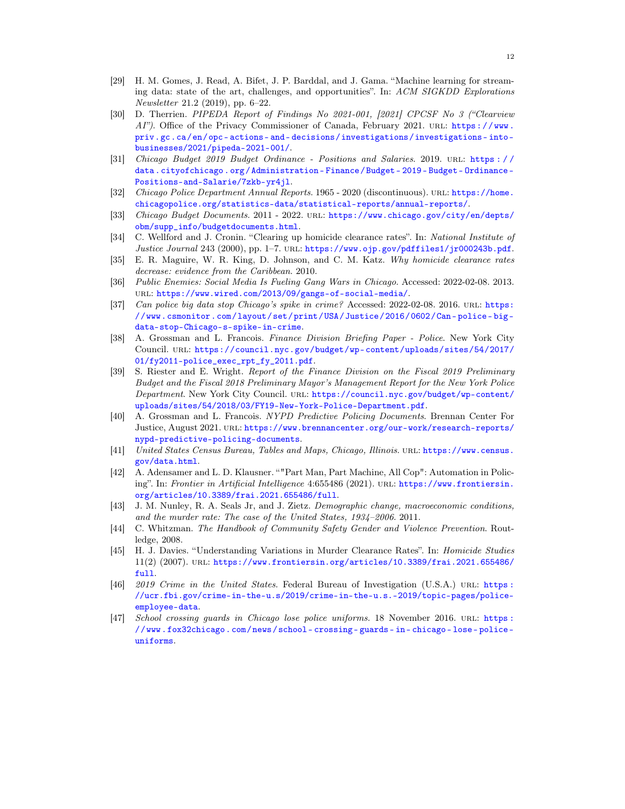- [29] H. M. Gomes, J. Read, A. Bifet, J. P. Barddal, and J. Gama. "Machine learning for streaming data: state of the art, challenges, and opportunities". In: ACM SIGKDD Explorations Newsletter 21.2 (2019), pp. 6–22.
- [30] D. Therrien. PIPEDA Report of Findings No 2021-001, [2021] CPCSF No 3 ("Clearview AI"). Office of the Privacy Commissioner of Canada, February 2021. URL: https://www. priv.gc.ca/en/opc- actions- and- decisions/investigations/investigations- intobusinesses/2021/pipeda-2021-001/.
- [31] Chicago Budget 2019 Budget Ordinance Positions and Salaries. 2019. url: https : / / data . cityofchicago . org / Administration - Finance / Budget - 2019 - Budget - Ordinance - Positions-and-Salarie/7zkb-yr4jl.
- [32] Chicago Police Department Annual Reports. 1965 2020 (discontinuous). url: https://home. chicagopolice.org/statistics-data/statistical-reports/annual-reports/.
- [33] Chicago Budget Documents. 2011 2022. url: https://www.chicago.gov/city/en/depts/ obm/supp\_info/budgetdocuments.html.
- [34] C. Wellford and J. Cronin. "Clearing up homicide clearance rates". In: National Institute of Justice Journal 243 (2000), pp. 1-7. URL: https://www.ojp.gov/pdffiles1/jr000243b.pdf.
- [35] E. R. Maguire, W. R. King, D. Johnson, and C. M. Katz. Why homicide clearance rates decrease: evidence from the Caribbean. 2010.
- [36] Public Enemies: Social Media Is Fueling Gang Wars in Chicago. Accessed: 2022-02-08. 2013. url: https://www.wired.com/2013/09/gangs-of-social-media/.
- [37] Can police big data stop Chicago's spike in crime? Accessed:  $2022-02-08$ . 2016. url: https: //www.csmonitor.com/layout/set/print/USA/Justice/2016/0602/Can- police- bigdata-stop-Chicago-s-spike-in-crime.
- [38] A. Grossman and L. Francois. Finance Division Briefing Paper Police. New York City Council. url: https://council.nyc.gov/budget/wp- content/uploads/sites/54/2017/ 01/fy2011-police\_exec\_rpt\_fy\_2011.pdf.
- [39] S. Riester and E. Wright. Report of the Finance Division on the Fiscal 2019 Preliminary Budget and the Fiscal 2018 Preliminary Mayor's Management Report for the New York Police Department. New York City Council. url: https://council.nyc.gov/budget/wp-content/ uploads/sites/54/2018/03/FY19-New-York-Police-Department.pdf.
- [40] A. Grossman and L. Francois. NYPD Predictive Policing Documents. Brennan Center For Justice, August 2021. url: https://www.brennancenter.org/our-work/research-reports/ nypd-predictive-policing-documents.
- [41] United States Census Bureau, Tables and Maps, Chicago, Illinois. URL: https://www.census. gov/data.html.
- [42] A. Adensamer and L. D. Klausner. ""Part Man, Part Machine, All Cop": Automation in Policing". In: Frontier in Artificial Intelligence 4:655486 (2021). URL: https://www.frontiersin. org/articles/10.3389/frai.2021.655486/full.
- [43] J. M. Nunley, R. A. Seals Jr, and J. Zietz. Demographic change, macroeconomic conditions, and the murder rate: The case of the United States, 1934–2006. 2011.
- [44] C. Whitzman. The Handbook of Community Safety Gender and Violence Prevention. Routledge, 2008.
- [45] H. J. Davies. "Understanding Variations in Murder Clearance Rates". In: Homicide Studies 11(2) (2007). url: https://www.frontiersin.org/articles/10.3389/frai.2021.655486/ full.
- [46] 2019 Crime in the United States. Federal Bureau of Investigation (U.S.A.) URL: https : //ucr.fbi.gov/crime-in-the-u.s/2019/crime-in-the-u.s.-2019/topic-pages/policeemployee-data.
- [47] School crossing guards in Chicago lose police uniforms. 18 November 2016. URL: https : //www.fox32chicago.com/news/school- crossing- guards- in- chicago- lose- policeuniforms.